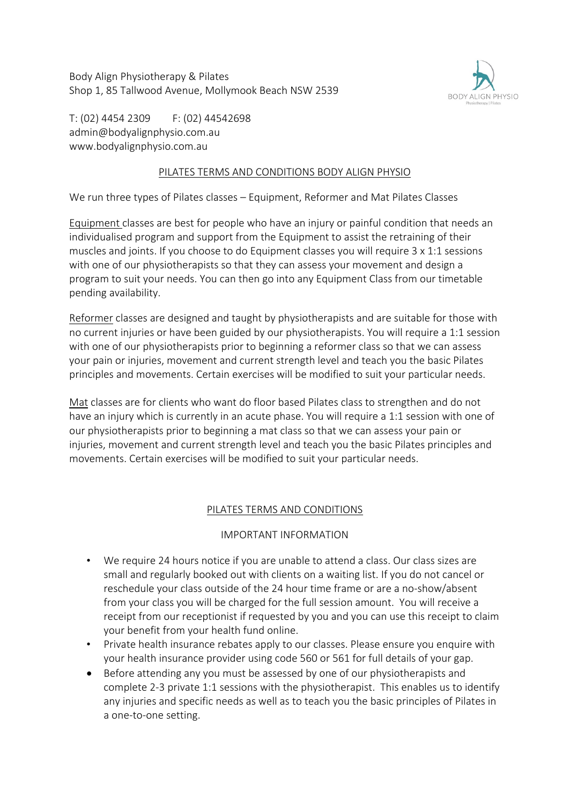Body Align Physiotherapy & Pilates Shop 1, 85 Tallwood Avenue, Mollymook Beach NSW 2539



T: (02) 4454 2309 F: (02) 44542698 admin@bodyalignphysio.com.au www.bodyalignphysio.com.au

## PILATES TERMS AND CONDITIONS BODY ALIGN PHYSIO

We run three types of Pilates classes – Equipment, Reformer and Mat Pilates Classes

Equipment classes are best for people who have an injury or painful condition that needs an individualised program and support from the Equipment to assist the retraining of their muscles and joints. If you choose to do Equipment classes you will require 3 x 1:1 sessions with one of our physiotherapists so that they can assess your movement and design a program to suit your needs. You can then go into any Equipment Class from our timetable pending availability.

Reformer classes are designed and taught by physiotherapists and are suitable for those with no current injuries or have been guided by our physiotherapists. You will require a 1:1 session with one of our physiotherapists prior to beginning a reformer class so that we can assess your pain or injuries, movement and current strength level and teach you the basic Pilates principles and movements. Certain exercises will be modified to suit your particular needs.

Mat classes are for clients who want do floor based Pilates class to strengthen and do not have an injury which is currently in an acute phase. You will require a 1:1 session with one of our physiotherapists prior to beginning a mat class so that we can assess your pain or injuries, movement and current strength level and teach you the basic Pilates principles and movements. Certain exercises will be modified to suit your particular needs.

# PILATES TERMS AND CONDITIONS

### IMPORTANT INFORMATION

- We require 24 hours notice if you are unable to attend a class. Our class sizes are small and regularly booked out with clients on a waiting list. If you do not cancel or reschedule your class outside of the 24 hour time frame or are a no-show/absent from your class you will be charged for the full session amount. You will receive a receipt from our receptionist if requested by you and you can use this receipt to claim your benefit from your health fund online.
- Private health insurance rebates apply to our classes. Please ensure you enquire with your health insurance provider using code 560 or 561 for full details of your gap.
- Before attending any you must be assessed by one of our physiotherapists and complete 2-3 private 1:1 sessions with the physiotherapist. This enables us to identify any injuries and specific needs as well as to teach you the basic principles of Pilates in a one-to-one setting.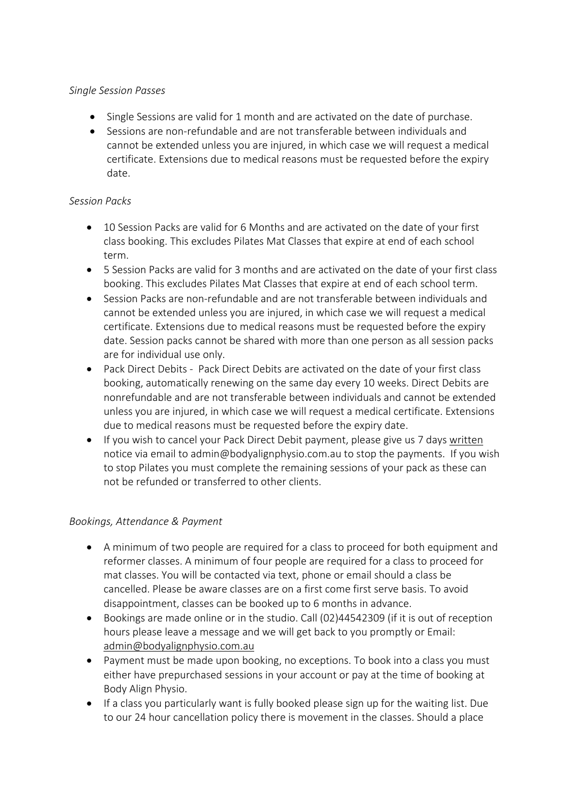## *Single Session Passes*

- Single Sessions are valid for 1 month and are activated on the date of purchase.
- Sessions are non-refundable and are not transferable between individuals and cannot be extended unless you are injured, in which case we will request a medical certificate. Extensions due to medical reasons must be requested before the expiry date.

## *Session Packs*

- 10 Session Packs are valid for 6 Months and are activated on the date of your first class booking. This excludes Pilates Mat Classes that expire at end of each school term.
- 5 Session Packs are valid for 3 months and are activated on the date of your first class booking. This excludes Pilates Mat Classes that expire at end of each school term.
- Session Packs are non-refundable and are not transferable between individuals and cannot be extended unless you are injured, in which case we will request a medical certificate. Extensions due to medical reasons must be requested before the expiry date. Session packs cannot be shared with more than one person as all session packs are for individual use only.
- Pack Direct Debits Pack Direct Debits are activated on the date of your first class booking, automatically renewing on the same day every 10 weeks. Direct Debits are nonrefundable and are not transferable between individuals and cannot be extended unless you are injured, in which case we will request a medical certificate. Extensions due to medical reasons must be requested before the expiry date.
- If you wish to cancel your Pack Direct Debit payment, please give us 7 days written notice via email to admin@bodyalignphysio.com.au to stop the payments. If you wish to stop Pilates you must complete the remaining sessions of your pack as these can not be refunded or transferred to other clients.

# *Bookings, Attendance & Payment*

- A minimum of two people are required for a class to proceed for both equipment and reformer classes. A minimum of four people are required for a class to proceed for mat classes. You will be contacted via text, phone or email should a class be cancelled. Please be aware classes are on a first come first serve basis. To avoid disappointment, classes can be booked up to 6 months in advance.
- Bookings are made online or in the studio. Call (02)44542309 (if it is out of reception hours please leave a message and we will get back to you promptly or Email: admin@bodyalignphysio.com.au
- Payment must be made upon booking, no exceptions. To book into a class you must either have prepurchased sessions in your account or pay at the time of booking at Body Align Physio.
- If a class you particularly want is fully booked please sign up for the waiting list. Due to our 24 hour cancellation policy there is movement in the classes. Should a place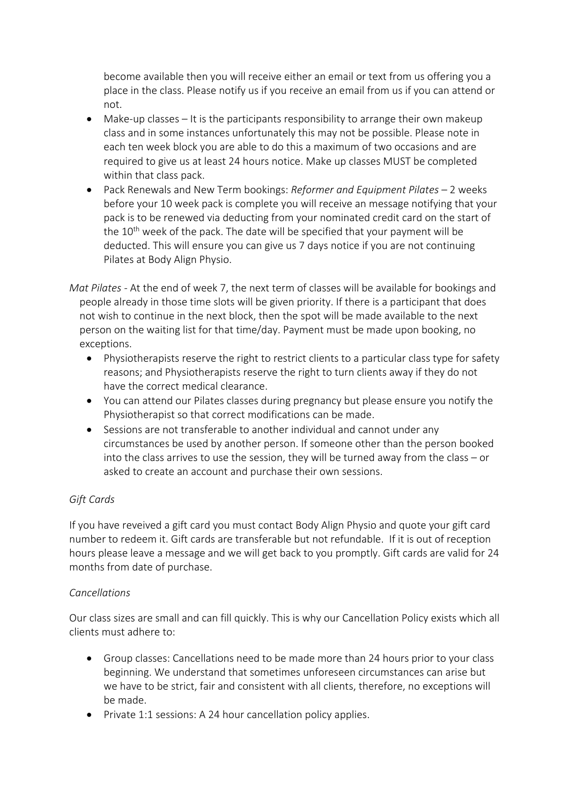become available then you will receive either an email or text from us offering you a place in the class. Please notify us if you receive an email from us if you can attend or not.

- Make-up classes It is the participants responsibility to arrange their own makeup class and in some instances unfortunately this may not be possible. Please note in each ten week block you are able to do this a maximum of two occasions and are required to give us at least 24 hours notice. Make up classes MUST be completed within that class pack.
- Pack Renewals and New Term bookings: *Reformer and Equipment Pilates –* 2 weeks before your 10 week pack is complete you will receive an message notifying that your pack is to be renewed via deducting from your nominated credit card on the start of the 10<sup>th</sup> week of the pack. The date will be specified that your payment will be deducted. This will ensure you can give us 7 days notice if you are not continuing Pilates at Body Align Physio.
- *Mat Pilates -* At the end of week 7, the next term of classes will be available for bookings and people already in those time slots will be given priority. If there is a participant that does not wish to continue in the next block, then the spot will be made available to the next person on the waiting list for that time/day. Payment must be made upon booking, no exceptions.
	- Physiotherapists reserve the right to restrict clients to a particular class type for safety reasons; and Physiotherapists reserve the right to turn clients away if they do not have the correct medical clearance.
	- You can attend our Pilates classes during pregnancy but please ensure you notify the Physiotherapist so that correct modifications can be made.
	- Sessions are not transferable to another individual and cannot under any circumstances be used by another person. If someone other than the person booked into the class arrives to use the session, they will be turned away from the class – or asked to create an account and purchase their own sessions.

# *Gift Cards*

If you have reveived a gift card you must contact Body Align Physio and quote your gift card number to redeem it. Gift cards are transferable but not refundable. If it is out of reception hours please leave a message and we will get back to you promptly. Gift cards are valid for 24 months from date of purchase.

### *Cancellations*

Our class sizes are small and can fill quickly. This is why our Cancellation Policy exists which all clients must adhere to:

- Group classes: Cancellations need to be made more than 24 hours prior to your class beginning. We understand that sometimes unforeseen circumstances can arise but we have to be strict, fair and consistent with all clients, therefore, no exceptions will be made.
- Private 1:1 sessions: A 24 hour cancellation policy applies.